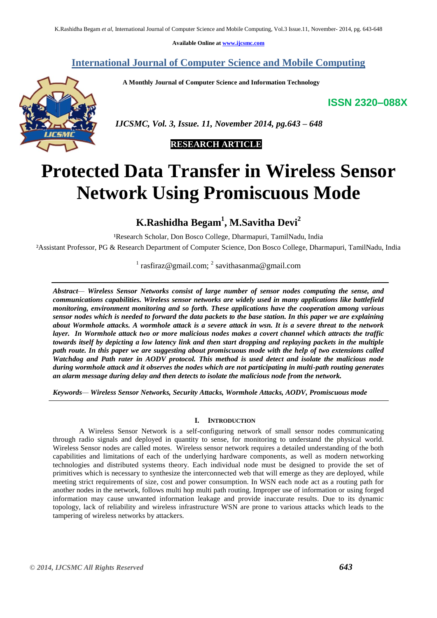**Available Online at [www.ijcsmc.com](http://www.ijcsmc.com/)**

**International Journal of Computer Science and Mobile Computing**

 **A Monthly Journal of Computer Science and Information Technology**

**ISSN 2320–088X**



 *IJCSMC, Vol. 3, Issue. 11, November 2014, pg.643 – 648*

## **RESEARCH ARTICLE**

# **Protected Data Transfer in Wireless Sensor Network Using Promiscuous Mode**

**K.Rashidha Begam<sup>1</sup> , M.Savitha Devi<sup>2</sup>**

<sup>1</sup>Research Scholar, Don Bosco College, Dharmapuri, TamilNadu, India

²Assistant Professor, PG & Research Department of Computer Science, Don Bosco College, Dharmapuri, TamilNadu, India

<sup>1</sup> rasfiraz@gmail.com; <sup>2</sup> savithasanma@gmail.com

*Abstract— Wireless Sensor Networks consist of large number of sensor nodes computing the sense, and communications capabilities. Wireless sensor networks are widely used in many applications like battlefield monitoring, environment monitoring and so forth. These applications have the cooperation among various sensor nodes which is needed to forward the data packets to the base station. In this paper we are explaining about Wormhole attacks. A wormhole attack is a severe attack in wsn. It is a severe threat to the network layer. In Wormhole attack two or more malicious nodes makes a covert channel which attracts the traffic towards itself by depicting a low latency link and then start dropping and replaying packets in the multiple path route. In this paper we are suggesting about promiscuous mode with the help of two extensions called Watchdog and Path rater in AODV protocol. This method is used detect and isolate the malicious node during wormhole attack and it observes the nodes which are not participating in multi-path routing generates an alarm message during delay and then detects to isolate the malicious node from the network.*

*Keywords— Wireless Sensor Networks, Security Attacks, Wormhole Attacks, AODV, Promiscuous mode*

## **I. INTRODUCTION**

A Wireless Sensor Network is a self-configuring network of small sensor nodes communicating through radio signals and deployed in quantity to sense, for monitoring to understand the physical world. Wireless Sensor nodes are called motes. Wireless sensor network requires a detailed understanding of the both capabilities and limitations of each of the underlying hardware components, as well as modern networking technologies and distributed systems theory. Each individual node must be designed to provide the set of primitives which is necessary to synthesize the interconnected web that will emerge as they are deployed, while meeting strict requirements of size, cost and power consumption. In WSN each node act as a routing path for another nodes in the network, follows multi hop multi path routing. Improper use of information or using forged information may cause unwanted information leakage and provide inaccurate results. Due to its dynamic topology, lack of reliability and wireless infrastructure WSN are prone to various attacks which leads to the tampering of wireless networks by attackers.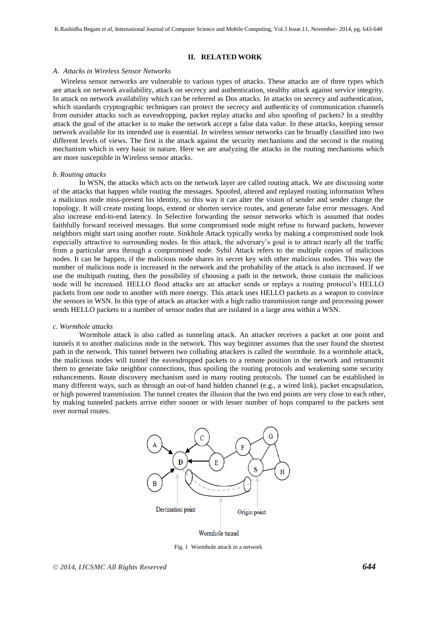### **II. RELATED WORK**

#### *A. Attacks in Wireless Sensor Networks*

Wireless sensor networks are vulnerable to various types of attacks. These attacks are of three types which are attack on network availability, attack on secrecy and authentication, stealthy attack against service integrity. In attack on network availability which can be referred as Dos attacks. In attacks on secrecy and authentication, which standards cryptographic techniques can protect the secrecy and authenticity of communication channels from outsider attacks such as eavesdropping, packet replay attacks and also spoofing of packets? In a stealthy attack the goal of the attacker is to make the network accept a false data value. In these attacks, keeping sensor network available for its intended use is essential. In wireless sensor networks can be broadly classified into two different levels of views. The first is the attack against the security mechanisms and the second is the routing mechanism which is very basic in nature. Here we are analyzing the attacks in the routing mechanisms which are more susceptible in Wireless sensor attacks.

#### *b. Routing attacks*

In WSN, the attacks which acts on the network layer are called routing attack. We are discussing some of the attacks that happen while routing the messages. Spoofed, altered and replayed routing information When a malicious node miss-present his identity, so this way it can alter the vision of sender and sender change the topology. It will create routing loops, extend or shorten service routes, and generate false error messages. And also increase end-to-end latency. In Selective forwarding the sensor networks which is assumed that nodes faithfully forward received messages. But some compromised node might refuse to forward packets, however neighbors might start using another route. Sinkhole Attack typically works by making a compromised node look especially attractive to surrounding nodes. In this attack, the adversary's goal is to attract nearly all the traffic from a particular area through a compromised node. Sybil Attack refers to the multiple copies of malicious nodes. It can be happen, if the malicious node shares its secret key with other malicious nodes. This way the number of malicious node is increased in the network and the probability of the attack is also increased. If we use the multipath routing, then the possibility of choosing a path in the network, those contain the malicious node will be increased. HELLO flood attacks are an attacker sends or replays a routing protocol's HELLO packets from one node to another with more energy. This attack uses HELLO packets as a weapon to convince the sensors in WSN. In this type of attack an attacker with a high radio transmission range and processing power sends HELLO packets to a number of sensor nodes that are isolated in a large area within a WSN.

#### *c. Wormhole attacks*

Wormhole attack is also called as tunneling attack. An attacker receives a packet at one point and tunnels it to another malicious node in the network. This way beginner assumes that the user found the shortest path in the network. This tunnel between two colluding attackers is called the wormhole. In a wormhole attack, the malicious nodes will tunnel the eavesdropped packets to a remote position in the network and retransmit them to generate fake neighbor connections, thus spoiling the routing protocols and weakening some security enhancements. Route discovery mechanism used in many routing protocols. The tunnel can be established in many different ways, such as through an out-of band hidden channel (e.g., a wired link), packet encapsulation, or high powered transmission. The tunnel creates the illusion that the two end points are very close to each other, by making tunneled packets arrive either sooner or with lesser number of hops compared to the packets sent over normal routes.



Wormhole tunnel

Fig. 1 Wormhole attack in a network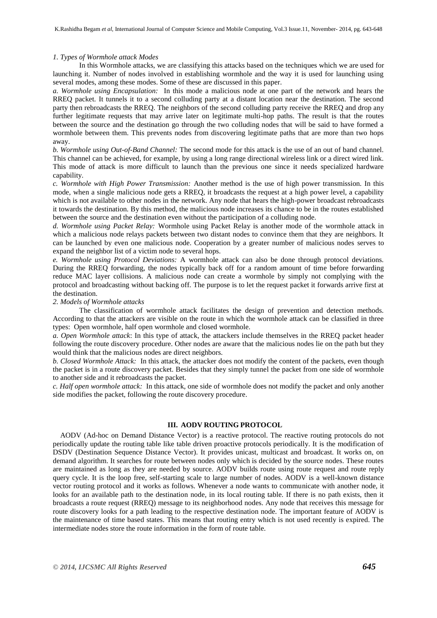#### *1. Types of Wormhole attack Modes*

In this Wormhole attacks, we are classifying this attacks based on the techniques which we are used for launching it. Number of nodes involved in establishing wormhole and the way it is used for launching using several modes, among these modes. Some of these are discussed in this paper.

*a. Wormhole using Encapsulation:* In this mode a malicious node at one part of the network and hears the RREQ packet. It tunnels it to a second colluding party at a distant location near the destination. The second party then rebroadcasts the RREQ. The neighbors of the second colluding party receive the RREQ and drop any further legitimate requests that may arrive later on legitimate multi-hop paths. The result is that the routes between the source and the destination go through the two colluding nodes that will be said to have formed a wormhole between them. This prevents nodes from discovering legitimate paths that are more than two hops away.

*b. Wormhole using Out-of-Band Channel:* The second mode for this attack is the use of an out of band channel. This channel can be achieved, for example, by using a long range directional wireless link or a direct wired link. This mode of attack is more difficult to launch than the previous one since it needs specialized hardware capability.

*c. Wormhole with High Power Transmission:* Another method is the use of high power transmission. In this mode, when a single malicious node gets a RREQ, it broadcasts the request at a high power level, a capability which is not available to other nodes in the network. Any node that hears the high-power broadcast rebroadcasts it towards the destination. By this method, the malicious node increases its chance to be in the routes established between the source and the destination even without the participation of a colluding node.

*d. Wormhole using Packet Relay:* Wormhole using Packet Relay is another mode of the wormhole attack in which a malicious node relays packets between two distant nodes to convince them that they are neighbors. It can be launched by even one malicious node. Cooperation by a greater number of malicious nodes serves to expand the neighbor list of a victim node to several hops.

*e. Wormhole using Protocol Deviations:* A wormhole attack can also be done through protocol deviations. During the RREQ forwarding, the nodes typically back off for a random amount of time before forwarding reduce MAC layer collisions. A malicious node can create a wormhole by simply not complying with the protocol and broadcasting without backing off. The purpose is to let the request packet it forwards arrive first at the destination.

## *2. Models of Wormhole attacks*

The classification of wormhole attack facilitates the design of prevention and detection methods. According to that the attackers are visible on the route in which the wormhole attack can be classified in three types: Open wormhole, half open wormhole and closed wormhole.

*a. Open Wormhole attack*: In this type of attack, the attackers include themselves in the RREQ packet header following the route discovery procedure. Other nodes are aware that the malicious nodes lie on the path but they would think that the malicious nodes are direct neighbors.

*b. Closed Wormhole Attack:* In this attack, the attacker does not modify the content of the packets, even though the packet is in a route discovery packet. Besides that they simply tunnel the packet from one side of wormhole to another side and it rebroadcasts the packet.

*c. Half open wormhole attack:* In this attack, one side of wormhole does not modify the packet and only another side modifies the packet, following the route discovery procedure.

## **III. AODV ROUTING PROTOCOL**

 AODV (Ad-hoc on Demand Distance Vector) is a reactive protocol. The reactive routing protocols do not periodically update the routing table like table driven proactive protocols periodically. It is the modification of DSDV (Destination Sequence Distance Vector). It provides unicast, multicast and broadcast. It works on, on demand algorithm. It searches for route between nodes only which is decided by the source nodes. These routes are maintained as long as they are needed by source. AODV builds route using route request and route reply query cycle. It is the loop free, self-starting scale to large number of nodes. AODV is a well-known distance vector routing protocol and it works as follows. Whenever a node wants to communicate with another node, it looks for an available path to the destination node, in its local routing table. If there is no path exists, then it broadcasts a route request (RREQ) message to its neighborhood nodes. Any node that receives this message for route discovery looks for a path leading to the respective destination node. The important feature of AODV is the maintenance of time based states. This means that routing entry which is not used recently is expired. The intermediate nodes store the route information in the form of route table.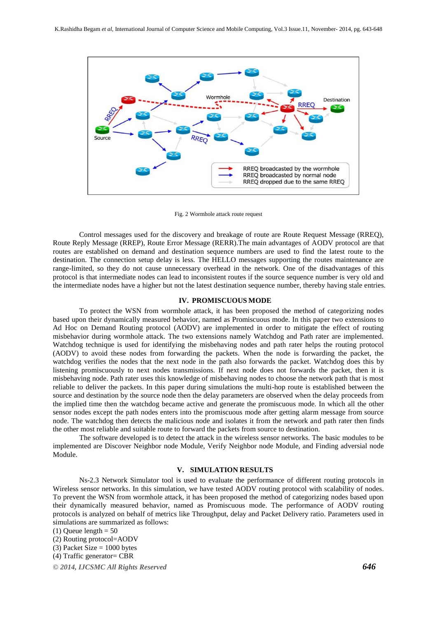

Fig. 2 Wormhole attack route request

Control messages used for the discovery and breakage of route are Route Request Message (RREQ), Route Reply Message (RREP), Route Error Message (RERR).The main advantages of AODV protocol are that routes are established on demand and destination sequence numbers are used to find the latest route to the destination. The connection setup delay is less. The HELLO messages supporting the routes maintenance are range-limited, so they do not cause unnecessary overhead in the network. One of the disadvantages of this protocol is that intermediate nodes can lead to inconsistent routes if the source sequence number is very old and the intermediate nodes have a higher but not the latest destination sequence number, thereby having stale entries.

## **IV. PROMISCUOUS MODE**

To protect the WSN from wormhole attack, it has been proposed the method of categorizing nodes based upon their dynamically measured behavior, named as Promiscuous mode. In this paper two extensions to Ad Hoc on Demand Routing protocol (AODV) are implemented in order to mitigate the effect of routing misbehavior during wormhole attack. The two extensions namely Watchdog and Path rater are implemented. Watchdog technique is used for identifying the misbehaving nodes and path rater helps the routing protocol (AODV) to avoid these nodes from forwarding the packets. When the node is forwarding the packet, the watchdog verifies the nodes that the next node in the path also forwards the packet. Watchdog does this by listening promiscuously to next nodes transmissions. If next node does not forwards the packet, then it is misbehaving node. Path rater uses this knowledge of misbehaving nodes to choose the network path that is most reliable to deliver the packets. In this paper during simulations the multi-hop route is established between the source and destination by the source node then the delay parameters are observed when the delay proceeds from the implied time then the watchdog became active and generate the promiscuous mode. In which all the other sensor nodes except the path nodes enters into the promiscuous mode after getting alarm message from source node. The watchdog then detects the malicious node and isolates it from the network and path rater then finds the other most reliable and suitable route to forward the packets from source to destination.

The software developed is to detect the attack in the wireless sensor networks. The basic modules to be implemented are Discover Neighbor node Module, Verify Neighbor node Module, and Finding adversial node Module.

## **V. SIMULATION RESULTS**

Ns-2.3 Network Simulator tool is used to evaluate the performance of different routing protocols in Wireless sensor networks. In this simulation, we have tested AODV routing protocol with scalability of nodes. To prevent the WSN from wormhole attack, it has been proposed the method of categorizing nodes based upon their dynamically measured behavior, named as Promiscuous mode. The performance of AODV routing protocols is analyzed on behalf of metrics like Throughput, delay and Packet Delivery ratio. Parameters used in simulations are summarized as follows:

<sup>(1)</sup> Queue length  $= 50$ 

<sup>(2)</sup> Routing protocol=AODV

<sup>(3)</sup> Packet Size  $= 1000$  bytes

<sup>(4)</sup> Traffic generator= CBR

*<sup>©</sup> 2014, IJCSMC All Rights Reserved 646*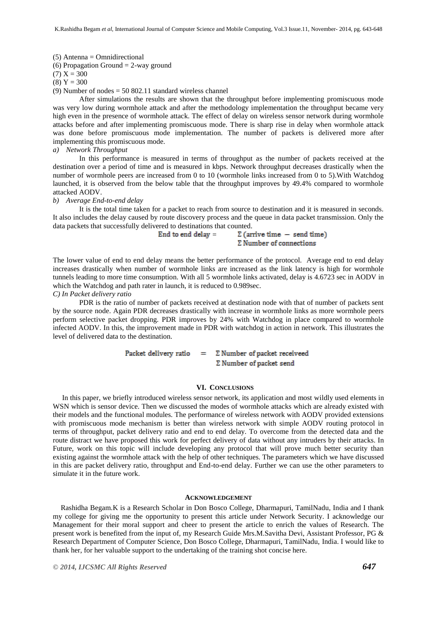(5) Antenna = Omnidirectional

(6) Propagation Ground  $= 2$ -way ground

 $(7) X = 300$ 

 $(8) Y = 300$ 

(9) Number of nodes  $= 50,802.11$  standard wireless channel

After simulations the results are shown that the throughput before implementing promiscuous mode was very low during wormhole attack and after the methodology implementation the throughput became very high even in the presence of wormhole attack. The effect of delay on wireless sensor network during wormhole attacks before and after implementing promiscuous mode. There is sharp rise in delay when wormhole attack was done before promiscuous mode implementation. The number of packets is delivered more after implementing this promiscuous mode.

*a) Network Throughput* 

In this performance is measured in terms of throughput as the number of packets received at the destination over a period of time and is measured in kbps. Network throughput decreases drastically when the number of wormhole peers are increased from 0 to 10 (wormhole links increased from 0 to 5).With Watchdog launched, it is observed from the below table that the throughput improves by 49.4% compared to wormhole attacked AODV.

#### *b) Average End-to-end delay*

It is the total time taken for a packet to reach from source to destination and it is measured in seconds. It also includes the delay caused by route discovery process and the queue in data packet transmission. Only the data packets that successfully delivered to destinations that counted.

> End to end delay  $=$  $\Sigma$  (arrive time  $-$  send time)  $\Sigma$  Number of connections

The lower value of end to end delay means the better performance of the protocol. Average end to end delay increases drastically when number of wormhole links are increased as the link latency is high for wormhole tunnels leading to more time consumption. With all 5 wormhole links activated, delay is 4.6723 sec in AODV in which the Watchdog and path rater in launch, it is reduced to 0.989sec.

## *C) In Packet delivery ratio*

PDR is the ratio of number of packets received at destination node with that of number of packets sent by the source node. Again PDR decreases drastically with increase in wormhole links as more wormhole peers perform selective packet dropping. PDR improves by 24% with Watchdog in place compared to wormhole infected AODV. In this, the improvement made in PDR with watchdog in action in network. This illustrates the level of delivered data to the destination.

> $\Sigma$  Number of packet receiveed Packet delivery ratio  $=$  $\Sigma$  Number of packet send

#### **VI. CONCLUSIONS**

 In this paper, we briefly introduced wireless sensor network, its application and most wildly used elements in WSN which is sensor device. Then we discussed the modes of wormhole attacks which are already existed with their models and the functional modules. The performance of wireless network with AODV provided extensions with promiscuous mode mechanism is better than wireless network with simple AODV routing protocol in terms of throughput, packet delivery ratio and end to end delay. To overcome from the detected data and the route distract we have proposed this work for perfect delivery of data without any intruders by their attacks. In Future, work on this topic will include developing any protocol that will prove much better security than existing against the wormhole attack with the help of other techniques. The parameters which we have discussed in this are packet delivery ratio, throughput and End-to-end delay. Further we can use the other parameters to simulate it in the future work.

## **ACKNOWLEDGEMENT**

Rashidha Begam.K is a Research Scholar in Don Bosco College, Dharmapuri, TamilNadu, India and I thank my college for giving me the opportunity to present this article under Network Security. I acknowledge our Management for their moral support and cheer to present the article to enrich the values of Research. The present work is benefited from the input of, my Research Guide Mrs.M.Savitha Devi, Assistant Professor, PG & Research Department of Computer Science, Don Bosco College, Dharmapuri, TamilNadu, India. I would like to thank her, for her valuable support to the undertaking of the training shot concise here.